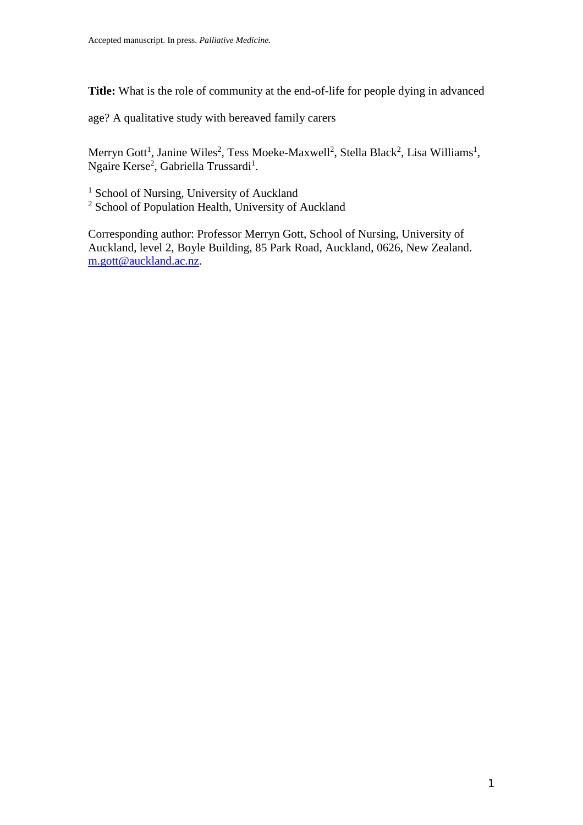**Title:** What is the role of community at the end-of-life for people dying in advanced

age? A qualitative study with bereaved family carers

Merryn Gott<sup>1</sup>, Janine Wiles<sup>2</sup>, Tess Moeke-Maxwell<sup>2</sup>, Stella Black<sup>2</sup>, Lisa Williams<sup>1</sup>, Ngaire Kerse<sup>2</sup>, Gabriella Trussardi<sup>1</sup>.

<sup>1</sup> School of Nursing, University of Auckland

<sup>2</sup> School of Population Health, University of Auckland

Corresponding author: Professor Merryn Gott, School of Nursing, University of Auckland, level 2, Boyle Building, 85 Park Road, Auckland, 0626, New Zealand. [m.gott@auckland.ac.nz.](mailto:M.gott@auckland.ac.nz)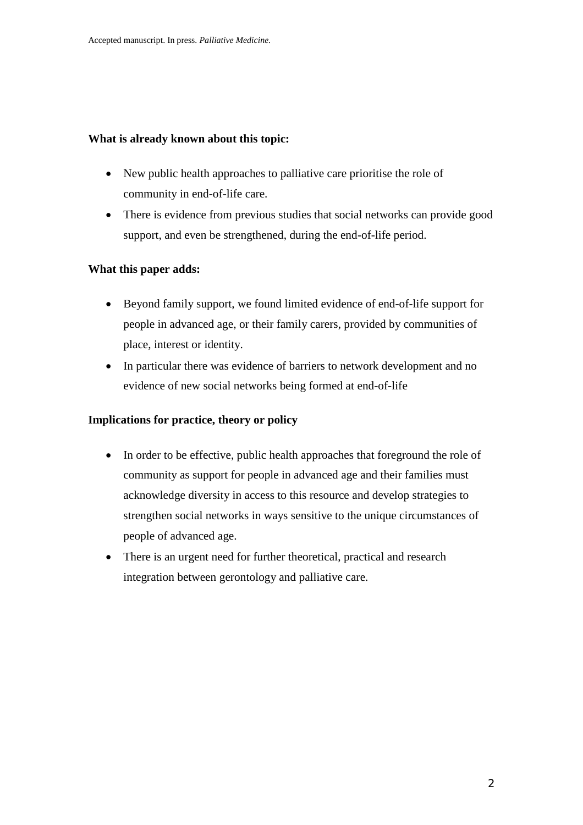## **What is already known about this topic:**

- New public health approaches to palliative care prioritise the role of community in end-of-life care.
- There is evidence from previous studies that social networks can provide good support, and even be strengthened, during the end-of-life period.

## **What this paper adds:**

- Beyond family support, we found limited evidence of end-of-life support for people in advanced age, or their family carers, provided by communities of place, interest or identity.
- In particular there was evidence of barriers to network development and no evidence of new social networks being formed at end-of-life

# **Implications for practice, theory or policy**

- In order to be effective, public health approaches that foreground the role of community as support for people in advanced age and their families must acknowledge diversity in access to this resource and develop strategies to strengthen social networks in ways sensitive to the unique circumstances of people of advanced age.
- There is an urgent need for further theoretical, practical and research integration between gerontology and palliative care.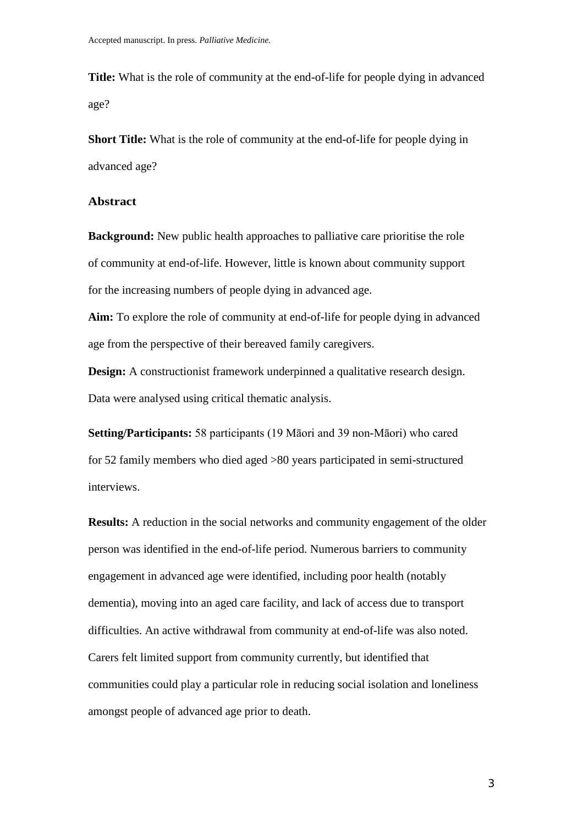**Title:** What is the role of community at the end-of-life for people dying in advanced age?

<span id="page-2-1"></span><span id="page-2-0"></span>**Short Title:** What is the role of community at the end-of-life for people dying in advanced age?

### <span id="page-2-2"></span>**Abstract**

<span id="page-2-4"></span><span id="page-2-3"></span>**Background:** New public health approaches to palliative care prioritise the role of community at end-of-life. However, little is known about community support for the increasing numbers of people dying in advanced age.

<span id="page-2-6"></span><span id="page-2-5"></span>**Aim:** To explore the role of community at end-of-life for people dying in advanced age from the perspective of their bereaved family caregivers.

<span id="page-2-7"></span>**Design:** A constructionist framework underpinned a qualitative research design. Data were analysed using critical thematic analysis.

<span id="page-2-9"></span><span id="page-2-8"></span>**Setting/Participants:** 58 participants (19 Māori and 39 non-Māori) who cared for 52 family members who died aged >80 years participated in semi-structured interviews.

<span id="page-2-17"></span><span id="page-2-16"></span><span id="page-2-15"></span><span id="page-2-14"></span><span id="page-2-13"></span><span id="page-2-12"></span><span id="page-2-11"></span><span id="page-2-10"></span>**Results:** A reduction in the social networks and community engagement of the older person was identified in the end-of-life period. Numerous barriers to community engagement in advanced age were identified, including poor health (notably dementia), moving into an aged care facility, and lack of access due to transport difficulties. An active withdrawal from community at end-of-life was also noted. Carers felt limited support from community currently, but identified that communities could play a particular role in reducing social isolation and loneliness amongst people of advanced age prior to death.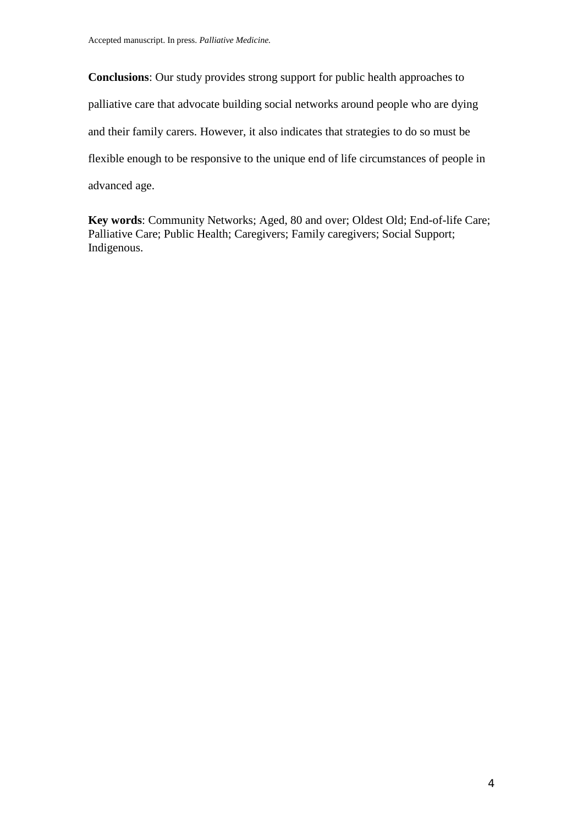<span id="page-3-1"></span><span id="page-3-0"></span>**Conclusions**: Our study provides strong support for public health approaches to palliative care that advocate building social networks around people who are dying and their family carers. However, it also indicates that strategies to do so must be flexible enough to be responsive to the unique end of life circumstances of people in advanced age.

<span id="page-3-10"></span><span id="page-3-9"></span><span id="page-3-8"></span><span id="page-3-7"></span><span id="page-3-6"></span><span id="page-3-5"></span><span id="page-3-4"></span><span id="page-3-3"></span><span id="page-3-2"></span>**Key words**: Community Networks; Aged, 80 and over; Oldest Old; End-of-life Care; Palliative Care; Public Health; Caregivers; Family caregivers; Social Support; Indigenous.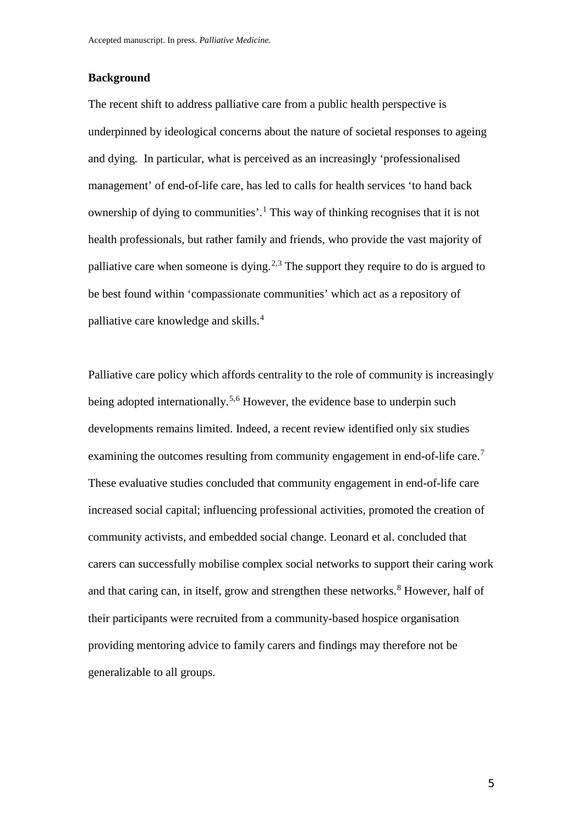#### **Background**

The recent shift to address palliative care from a public health perspective is underpinned by ideological concerns about the nature of societal responses to ageing and dying. In particular, what is perceived as an increasingly 'professionalised management' of end-of-life care, has led to calls for health services 'to hand back ownership of dying to communities'. [1](#page-2-0) This way of thinking recognises that it is not health professionals, but rather family and friends, who provide the vast majority of palliative care when someone is dying.<sup>[2](#page-2-1),[3](#page-2-2)</sup> The support they require to do is argued to be best found within 'compassionate communities' which act as a repository of palliative care knowledge and skills. [4](#page-2-3)

Palliative care policy which affords centrality to the role of community is increasingly being adopted internationally.<sup>[5](#page-2-4),[6](#page-2-5)</sup> However, the evidence base to underpin such developments remains limited. Indeed, a recent review identified only six studies examining the outcomes resulting from community engagement in end-of-life care.<sup>[7](#page-2-6)</sup> These evaluative studies concluded that community engagement in end-of-life care increased social capital; influencing professional activities, promoted the creation of community activists, and embedded social change. Leonard et al. concluded that carers can successfully mobilise complex social networks to support their caring work and that caring can, in itself, grow and strengthen these networks.<sup>[8](#page-2-7)</sup> However, half of their participants were recruited from a community-based hospice organisation providing mentoring advice to family carers and findings may therefore not be generalizable to all groups.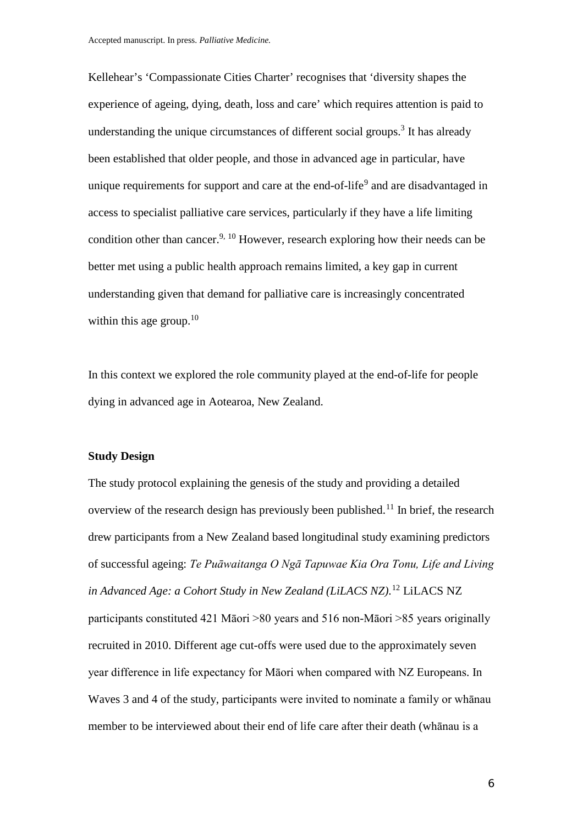Kellehear's 'Compassionate Cities Charter' recognises that 'diversity shapes the experience of ageing, dying, death, loss and care' which requires attention is paid to understanding the unique circumstances of different social groups.<sup>3</sup> It has already been established that older people, and those in advanced age in particular, have unique requirements for support and care at the end-of-life<sup>[9](#page-2-8)</sup> and are disadvantaged in access to specialist palliative care services, particularly if they have a life limiting condition other than cancer.<sup>9, [10](#page-2-9)</sup> However, research exploring how their needs can be better met using a public health approach remains limited, a key gap in current understanding given that demand for palliative care is increasingly concentrated within this age group.<sup>10</sup>

In this context we explored the role community played at the end-of-life for people dying in advanced age in Aotearoa, New Zealand.

#### **Study Design**

The study protocol explaining the genesis of the study and providing a detailed overview of the research design has previously been published.<sup>[11](#page-2-10)</sup> In brief, the research drew participants from a New Zealand based longitudinal study examining predictors of successful ageing: *Te Puāwaitanga O Ngā Tapuwae Kia Ora Tonu, Life and Living in Advanced Age: a Cohort Study in New Zealand (LiLACS NZ)*. [12](#page-2-11) LiLACS NZ participants constituted 421 Māori >80 years and 516 non-Māori >85 years originally recruited in 2010. Different age cut-offs were used due to the approximately seven year difference in life expectancy for Māori when compared with NZ Europeans. In Waves 3 and 4 of the study, participants were invited to nominate a family or whānau member to be interviewed about their end of life care after their death (whānau is a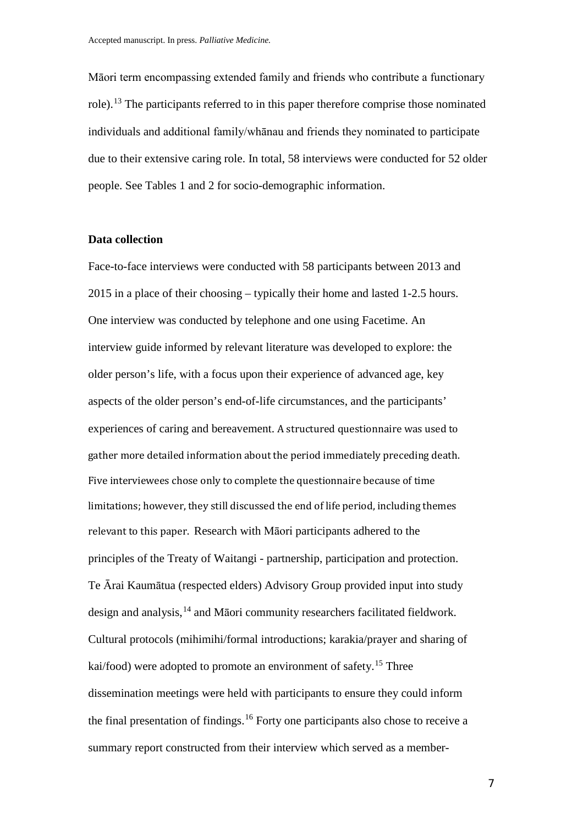Māori term encompassing extended family and friends who contribute a functionary role).<sup>[13](#page-2-12)</sup> The participants referred to in this paper therefore comprise those nominated individuals and additional family/whānau and friends they nominated to participate due to their extensive caring role. In total, 58 interviews were conducted for 52 older people. See Tables 1 and 2 for socio-demographic information.

#### **Data collection**

Face-to-face interviews were conducted with 58 participants between 2013 and 2015 in a place of their choosing – typically their home and lasted 1-2.5 hours. One interview was conducted by telephone and one using Facetime. An interview guide informed by relevant literature was developed to explore: the older person's life, with a focus upon their experience of advanced age, key aspects of the older person's end-of-life circumstances, and the participants' experiences of caring and bereavement. A structured questionnaire was used to gather more detailed information about the period immediately preceding death. Five interviewees chose only to complete the questionnaire because of time limitations; however, they still discussed the end of life period, including themes relevant to this paper. Research with Māori participants adhered to the principles of the Treaty of Waitangi - partnership, participation and protection. Te Ārai Kaumātua (respected elders) Advisory Group provided input into study design and analysis,<sup>[14](#page-2-13)</sup> and Māori community researchers facilitated fieldwork. Cultural protocols (mihimihi/formal introductions; karakia/prayer and sharing of kai/food) were adopted to promote an environment of safety.<sup>[15](#page-2-14)</sup> Three dissemination meetings were held with participants to ensure they could inform the final presentation of findings. [16](#page-2-15) Forty one participants also chose to receive a summary report constructed from their interview which served as a member-

7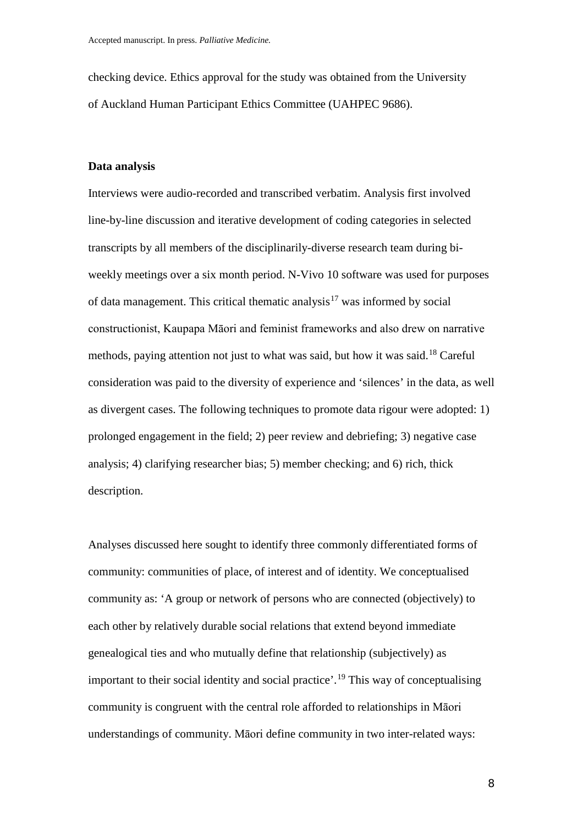checking device. Ethics approval for the study was obtained from the University of Auckland Human Participant Ethics Committee (UAHPEC 9686).

## **Data analysis**

Interviews were audio-recorded and transcribed verbatim. Analysis first involved line-by-line discussion and iterative development of coding categories in selected transcripts by all members of the disciplinarily-diverse research team during biweekly meetings over a six month period. N-Vivo 10 software was used for purposes of data management. This critical thematic analysis<sup>[17](#page-2-16)</sup> was informed by social constructionist, Kaupapa Māori and feminist frameworks and also drew on narrative methods, paying attention not just to what was said, but how it was said. [18](#page-2-17) Careful consideration was paid to the diversity of experience and 'silences' in the data, as well as divergent cases. The following techniques to promote data rigour were adopted: 1) prolonged engagement in the field; 2) peer review and debriefing; 3) negative case analysis; 4) clarifying researcher bias; 5) member checking; and 6) rich, thick description.

Analyses discussed here sought to identify three commonly differentiated forms of community: communities of place, of interest and of identity. We conceptualised community as: 'A group or network of persons who are connected (objectively) to each other by relatively durable social relations that extend beyond immediate genealogical ties and who mutually define that relationship (subjectively) as important to their social identity and social practice'.<sup>[19](#page-3-0)</sup> This way of conceptualising community is congruent with the central role afforded to relationships in Māori understandings of community. Māori define community in two inter-related ways: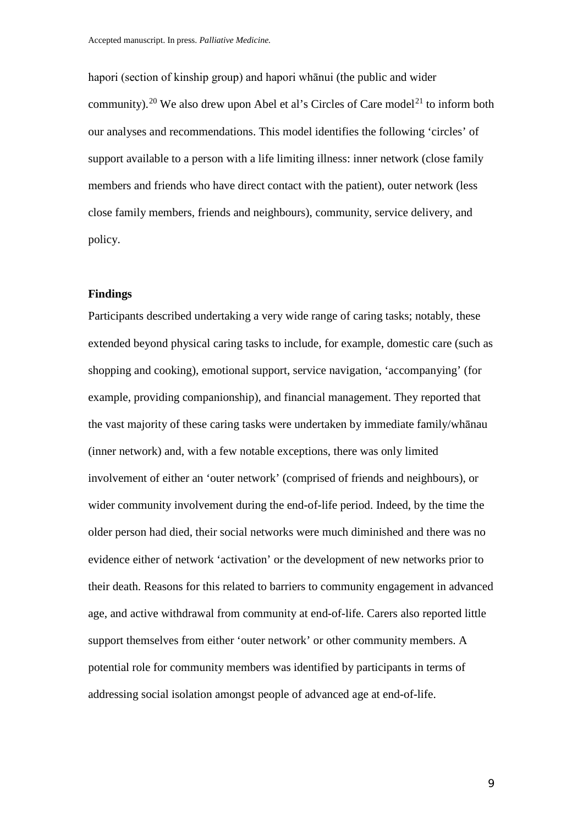hapori (section of kinship group) and hapori whānui (the public and wider community).<sup>[20](#page-3-1)</sup> We also drew upon Abel et al's Circles of Care model<sup>[21](#page-3-2)</sup> to inform both our analyses and recommendations. This model identifies the following 'circles' of support available to a person with a life limiting illness: inner network (close family members and friends who have direct contact with the patient), outer network (less close family members, friends and neighbours), community, service delivery, and policy.

### **Findings**

Participants described undertaking a very wide range of caring tasks; notably, these extended beyond physical caring tasks to include, for example, domestic care (such as shopping and cooking), emotional support, service navigation, 'accompanying' (for example, providing companionship), and financial management. They reported that the vast majority of these caring tasks were undertaken by immediate family/whānau (inner network) and, with a few notable exceptions, there was only limited involvement of either an 'outer network' (comprised of friends and neighbours), or wider community involvement during the end-of-life period. Indeed, by the time the older person had died, their social networks were much diminished and there was no evidence either of network 'activation' or the development of new networks prior to their death. Reasons for this related to barriers to community engagement in advanced age, and active withdrawal from community at end-of-life. Carers also reported little support themselves from either 'outer network' or other community members. A potential role for community members was identified by participants in terms of addressing social isolation amongst people of advanced age at end-of-life.

9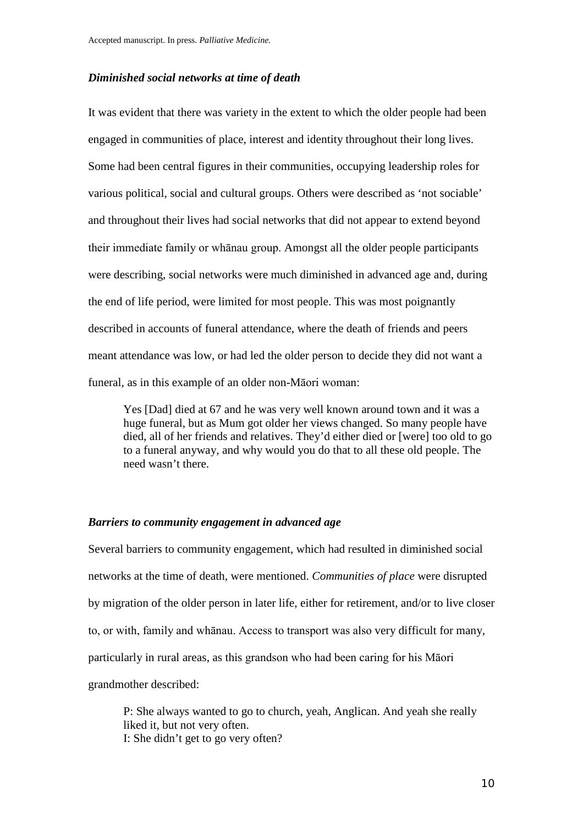### *Diminished social networks at time of death*

It was evident that there was variety in the extent to which the older people had been engaged in communities of place, interest and identity throughout their long lives. Some had been central figures in their communities, occupying leadership roles for various political, social and cultural groups. Others were described as 'not sociable' and throughout their lives had social networks that did not appear to extend beyond their immediate family or whānau group. Amongst all the older people participants were describing, social networks were much diminished in advanced age and, during the end of life period, were limited for most people. This was most poignantly described in accounts of funeral attendance, where the death of friends and peers meant attendance was low, or had led the older person to decide they did not want a funeral, as in this example of an older non-Māori woman:

Yes [Dad] died at 67 and he was very well known around town and it was a huge funeral, but as Mum got older her views changed. So many people have died, all of her friends and relatives. They'd either died or [were] too old to go to a funeral anyway, and why would you do that to all these old people. The need wasn't there.

#### *Barriers to community engagement in advanced age*

Several barriers to community engagement, which had resulted in diminished social networks at the time of death, were mentioned. *Communities of place* were disrupted by migration of the older person in later life, either for retirement, and/or to live closer to, or with, family and whānau. Access to transport was also very difficult for many, particularly in rural areas, as this grandson who had been caring for his Māori grandmother described:

P: She always wanted to go to church, yeah, Anglican. And yeah she really liked it, but not very often. I: She didn't get to go very often?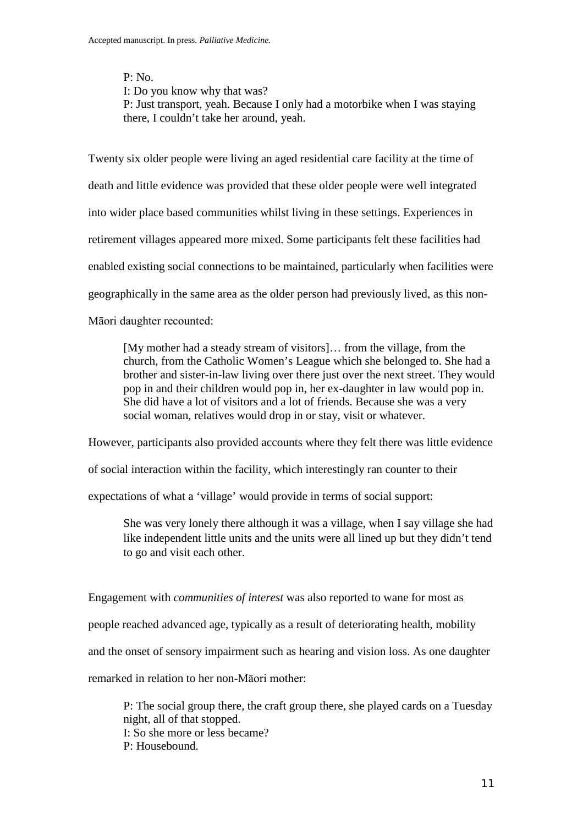P: No. I: Do you know why that was? P: Just transport, yeah. Because I only had a motorbike when I was staying there, I couldn't take her around, yeah.

Twenty six older people were living an aged residential care facility at the time of death and little evidence was provided that these older people were well integrated into wider place based communities whilst living in these settings. Experiences in retirement villages appeared more mixed. Some participants felt these facilities had enabled existing social connections to be maintained, particularly when facilities were geographically in the same area as the older person had previously lived, as this non-Māori daughter recounted:

[My mother had a steady stream of visitors]… from the village, from the church, from the Catholic Women's League which she belonged to. She had a brother and sister-in-law living over there just over the next street. They would pop in and their children would pop in, her ex-daughter in law would pop in. She did have a lot of visitors and a lot of friends. Because she was a very social woman, relatives would drop in or stay, visit or whatever.

However, participants also provided accounts where they felt there was little evidence of social interaction within the facility, which interestingly ran counter to their expectations of what a 'village' would provide in terms of social support:

She was very lonely there although it was a village, when I say village she had like independent little units and the units were all lined up but they didn't tend to go and visit each other.

Engagement with *communities of interest* was also reported to wane for most as people reached advanced age, typically as a result of deteriorating health, mobility and the onset of sensory impairment such as hearing and vision loss. As one daughter remarked in relation to her non-Māori mother:

P: The social group there, the craft group there, she played cards on a Tuesday night, all of that stopped. I: So she more or less became? P: Housebound.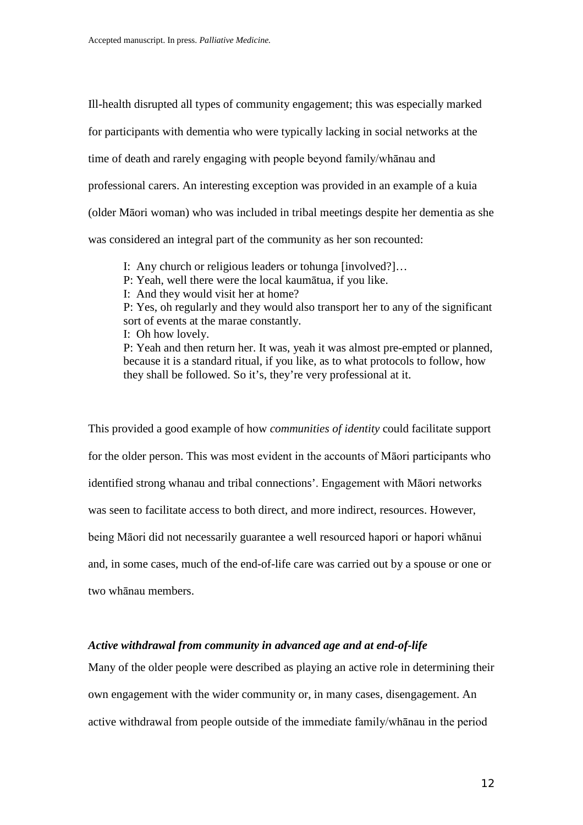Ill-health disrupted all types of community engagement; this was especially marked for participants with dementia who were typically lacking in social networks at the time of death and rarely engaging with people beyond family/whānau and professional carers. An interesting exception was provided in an example of a kuia (older Māori woman) who was included in tribal meetings despite her dementia as she was considered an integral part of the community as her son recounted:

I: Any church or religious leaders or tohunga [involved?]…

P: Yeah, well there were the local kaumātua, if you like.

I: And they would visit her at home?

P: Yes, oh regularly and they would also transport her to any of the significant sort of events at the marae constantly.

I: Oh how lovely.

P: Yeah and then return her. It was, yeah it was almost pre-empted or planned, because it is a standard ritual, if you like, as to what protocols to follow, how they shall be followed. So it's, they're very professional at it.

This provided a good example of how *communities of identity* could facilitate support for the older person. This was most evident in the accounts of Māori participants who identified strong whanau and tribal connections'. Engagement with Māori networks was seen to facilitate access to both direct, and more indirect, resources. However, being Māori did not necessarily guarantee a well resourced hapori or hapori whānui and, in some cases, much of the end-of-life care was carried out by a spouse or one or two whānau members.

## *Active withdrawal from community in advanced age and at end-of-life*

Many of the older people were described as playing an active role in determining their own engagement with the wider community or, in many cases, disengagement. An active withdrawal from people outside of the immediate family/whānau in the period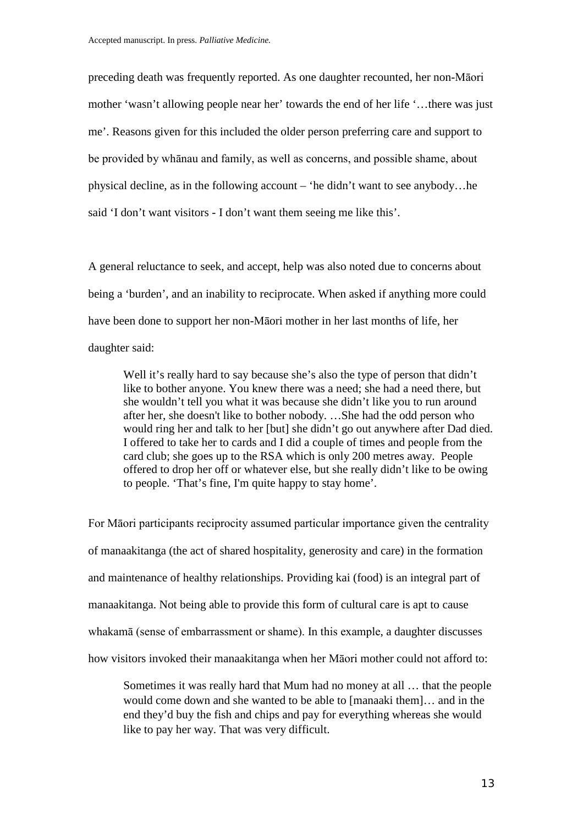preceding death was frequently reported. As one daughter recounted, her non-Māori mother 'wasn't allowing people near her' towards the end of her life '…there was just me'. Reasons given for this included the older person preferring care and support to be provided by whānau and family, as well as concerns, and possible shame, about physical decline, as in the following account – 'he didn't want to see anybody…he said 'I don't want visitors - I don't want them seeing me like this'.

A general reluctance to seek, and accept, help was also noted due to concerns about being a 'burden', and an inability to reciprocate. When asked if anything more could have been done to support her non-Māori mother in her last months of life, her daughter said:

Well it's really hard to say because she's also the type of person that didn't like to bother anyone. You knew there was a need; she had a need there, but she wouldn't tell you what it was because she didn't like you to run around after her, she doesn't like to bother nobody. …She had the odd person who would ring her and talk to her [but] she didn't go out anywhere after Dad died. I offered to take her to cards and I did a couple of times and people from the card club; she goes up to the RSA which is only 200 metres away. People offered to drop her off or whatever else, but she really didn't like to be owing to people. 'That's fine, I'm quite happy to stay home'.

For Māori participants reciprocity assumed particular importance given the centrality of manaakitanga (the act of shared hospitality, generosity and care) in the formation and maintenance of healthy relationships. Providing kai (food) is an integral part of manaakitanga. Not being able to provide this form of cultural care is apt to cause whakamā (sense of embarrassment or shame). In this example, a daughter discusses how visitors invoked their manaakitanga when her Māori mother could not afford to:

Sometimes it was really hard that Mum had no money at all … that the people would come down and she wanted to be able to [manaaki them]… and in the end they'd buy the fish and chips and pay for everything whereas she would like to pay her way. That was very difficult.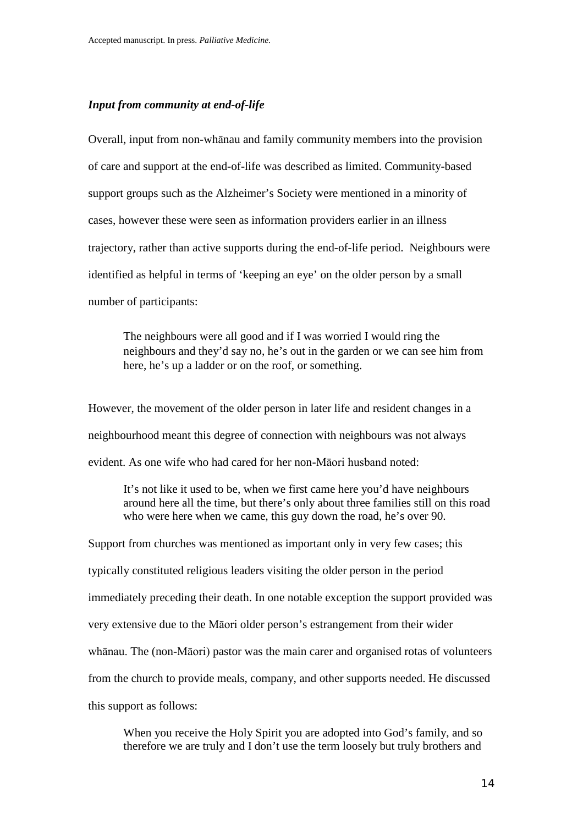### *Input from community at end-of-life*

Overall, input from non-whānau and family community members into the provision of care and support at the end-of-life was described as limited. Community-based support groups such as the Alzheimer's Society were mentioned in a minority of cases, however these were seen as information providers earlier in an illness trajectory, rather than active supports during the end-of-life period. Neighbours were identified as helpful in terms of 'keeping an eye' on the older person by a small number of participants:

The neighbours were all good and if I was worried I would ring the neighbours and they'd say no, he's out in the garden or we can see him from here, he's up a ladder or on the roof, or something.

However, the movement of the older person in later life and resident changes in a neighbourhood meant this degree of connection with neighbours was not always evident. As one wife who had cared for her non-Māori husband noted:

It's not like it used to be, when we first came here you'd have neighbours around here all the time, but there's only about three families still on this road who were here when we came, this guy down the road, he's over 90.

Support from churches was mentioned as important only in very few cases; this typically constituted religious leaders visiting the older person in the period immediately preceding their death. In one notable exception the support provided was very extensive due to the Māori older person's estrangement from their wider whānau. The (non-Māori) pastor was the main carer and organised rotas of volunteers from the church to provide meals, company, and other supports needed. He discussed this support as follows:

When you receive the Holy Spirit you are adopted into God's family, and so therefore we are truly and I don't use the term loosely but truly brothers and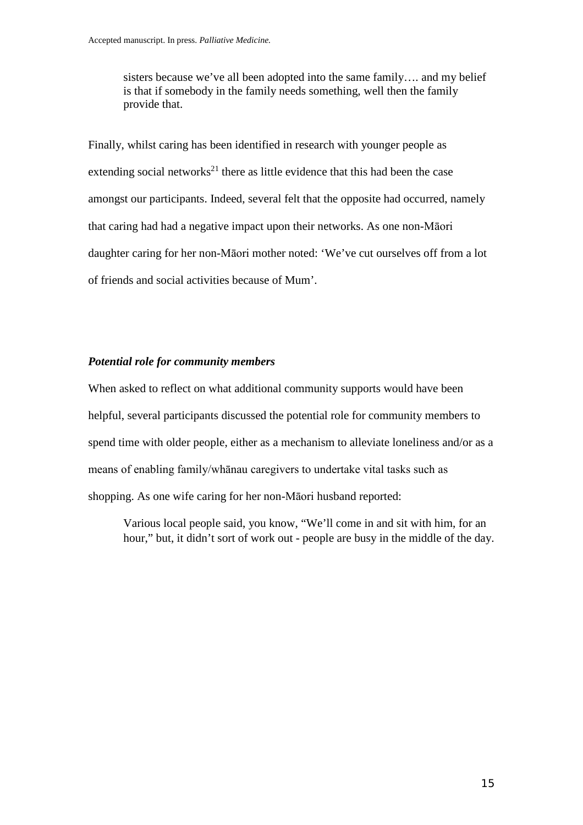sisters because we've all been adopted into the same family…. and my belief is that if somebody in the family needs something, well then the family provide that.

Finally, whilst caring has been identified in research with younger people as extending social networks<sup>21</sup> there as little evidence that this had been the case amongst our participants. Indeed, several felt that the opposite had occurred, namely that caring had had a negative impact upon their networks. As one non-Māori daughter caring for her non-Māori mother noted: 'We've cut ourselves off from a lot of friends and social activities because of Mum'.

## *Potential role for community members*

When asked to reflect on what additional community supports would have been helpful, several participants discussed the potential role for community members to spend time with older people, either as a mechanism to alleviate loneliness and/or as a means of enabling family/whānau caregivers to undertake vital tasks such as shopping. As one wife caring for her non-Māori husband reported:

Various local people said, you know, "We'll come in and sit with him, for an hour," but, it didn't sort of work out - people are busy in the middle of the day.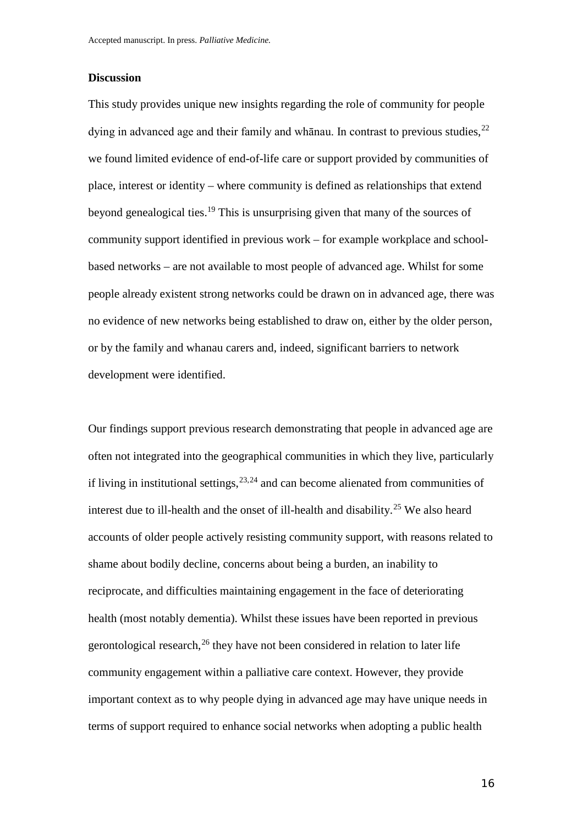#### **Discussion**

This study provides unique new insights regarding the role of community for people dying in advanced age and their family and whānau. In contrast to previous studies,<sup>[22](#page-3-3)</sup> we found limited evidence of end-of-life care or support provided by communities of place, interest or identity – where community is defined as relationships that extend beyond genealogical ties.<sup>19</sup> This is unsurprising given that many of the sources of community support identified in previous work – for example workplace and schoolbased networks – are not available to most people of advanced age. Whilst for some people already existent strong networks could be drawn on in advanced age, there was no evidence of new networks being established to draw on, either by the older person, or by the family and whanau carers and, indeed, significant barriers to network development were identified.

Our findings support previous research demonstrating that people in advanced age are often not integrated into the geographical communities in which they live, particularly if living in institutional settings,  $2^{3,24}$  $2^{3,24}$  $2^{3,24}$  and can become alienated from communities of interest due to ill-health and the onset of ill-health and disability. [25](#page-3-6) We also heard accounts of older people actively resisting community support, with reasons related to shame about bodily decline, concerns about being a burden, an inability to reciprocate, and difficulties maintaining engagement in the face of deteriorating health (most notably dementia). Whilst these issues have been reported in previous gerontological research,<sup>[26](#page-3-7)</sup> they have not been considered in relation to later life community engagement within a palliative care context. However, they provide important context as to why people dying in advanced age may have unique needs in terms of support required to enhance social networks when adopting a public health

16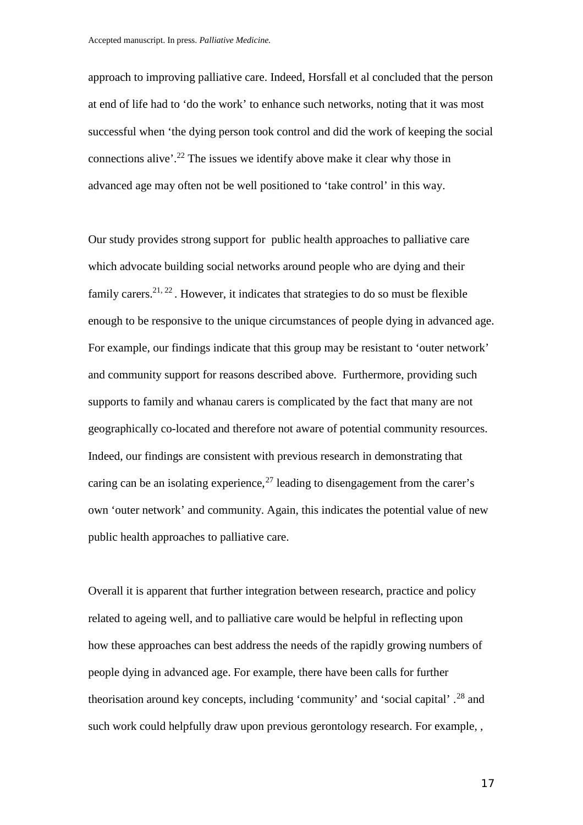approach to improving palliative care. Indeed, Horsfall et al concluded that the person at end of life had to 'do the work' to enhance such networks, noting that it was most successful when 'the dying person took control and did the work of keeping the social connections alive'.22 The issues we identify above make it clear why those in advanced age may often not be well positioned to 'take control' in this way.

Our study provides strong support for public health approaches to palliative care which advocate building social networks around people who are dying and their family carers.<sup>21, 22</sup>. However, it indicates that strategies to do so must be flexible enough to be responsive to the unique circumstances of people dying in advanced age. For example, our findings indicate that this group may be resistant to 'outer network' and community support for reasons described above. Furthermore, providing such supports to family and whanau carers is complicated by the fact that many are not geographically co-located and therefore not aware of potential community resources. Indeed, our findings are consistent with previous research in demonstrating that caring can be an isolating experience, $27$  leading to disengagement from the carer's own 'outer network' and community. Again, this indicates the potential value of new public health approaches to palliative care.

Overall it is apparent that further integration between research, practice and policy related to ageing well, and to palliative care would be helpful in reflecting upon how these approaches can best address the needs of the rapidly growing numbers of people dying in advanced age. For example, there have been calls for further theorisation around key concepts, including 'community' and 'social capital'.<sup>[28](#page-3-9)</sup> and such work could helpfully draw upon previous gerontology research. For example, ,

17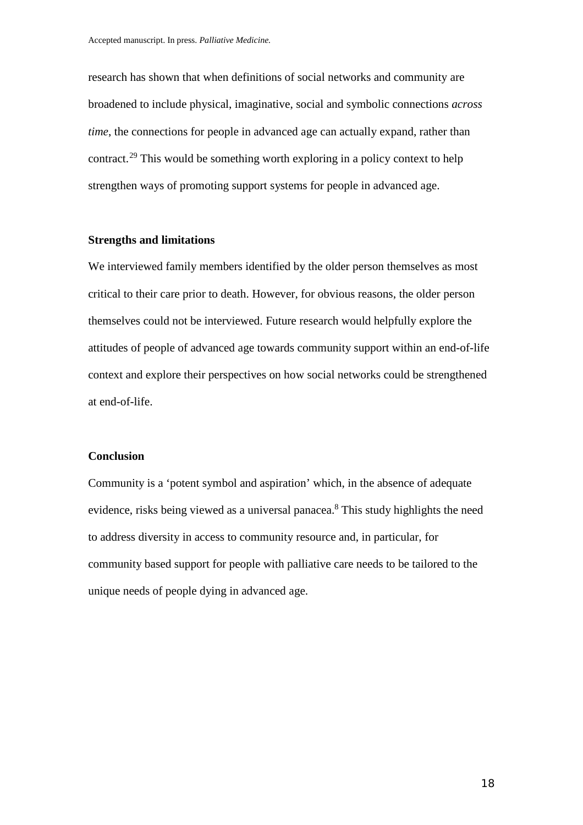research has shown that when definitions of social networks and community are broadened to include physical, imaginative, social and symbolic connections *across time*, the connections for people in advanced age can actually expand, rather than contract. [29](#page-3-10) This would be something worth exploring in a policy context to help strengthen ways of promoting support systems for people in advanced age.

### **Strengths and limitations**

We interviewed family members identified by the older person themselves as most critical to their care prior to death. However, for obvious reasons, the older person themselves could not be interviewed. Future research would helpfully explore the attitudes of people of advanced age towards community support within an end-of-life context and explore their perspectives on how social networks could be strengthened at end-of-life.

### **Conclusion**

Community is a 'potent symbol and aspiration' which, in the absence of adequate evidence, risks being viewed as a universal panacea.<sup>8</sup> This study highlights the need to address diversity in access to community resource and, in particular, for community based support for people with palliative care needs to be tailored to the unique needs of people dying in advanced age.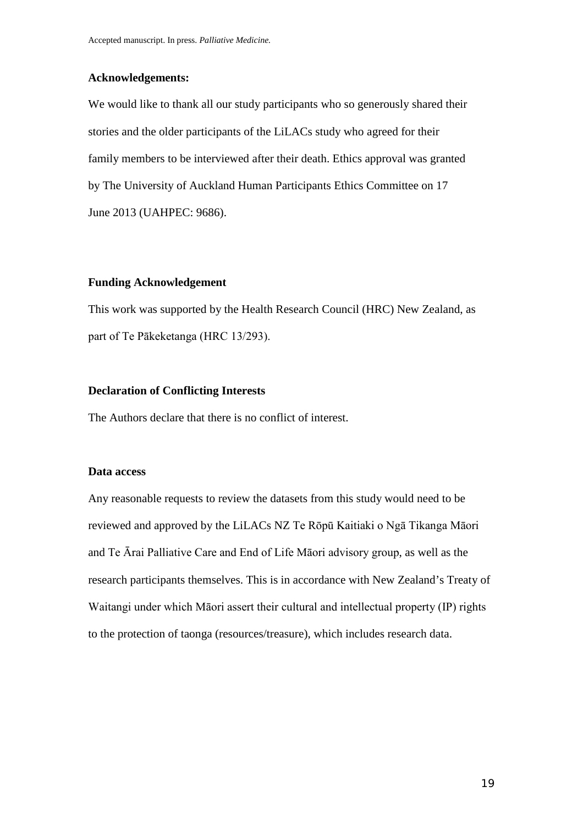#### **Acknowledgements:**

We would like to thank all our study participants who so generously shared their stories and the older participants of the LiLACs study who agreed for their family members to be interviewed after their death. Ethics approval was granted by The University of Auckland Human Participants Ethics Committee on 17 June 2013 (UAHPEC: 9686).

#### **Funding Acknowledgement**

This work was supported by the Health Research Council (HRC) New Zealand, as part of Te Pākeketanga (HRC 13/293).

#### **Declaration of Conflicting Interests**

The Authors declare that there is no conflict of interest.

#### **Data access**

Any reasonable requests to review the datasets from this study would need to be reviewed and approved by the LiLACs NZ Te Rōpū Kaitiaki o Ngā Tikanga Māori and Te Ārai Palliative Care and End of Life Māori advisory group, as well as the research participants themselves. This is in accordance with New Zealand's Treaty of Waitangi under which Māori assert their cultural and intellectual property (IP) rights to the protection of taonga (resources/treasure), which includes research data.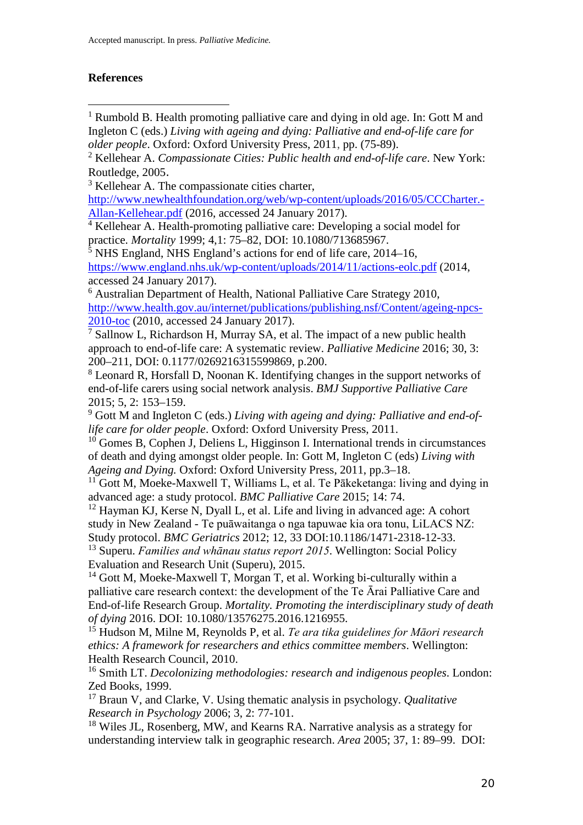# **References**

<sup>3</sup> Kellehear A. The compassionate cities charter,

[http://www.newhealthfoundation.org/web/wp-content/uploads/2016/05/CCCharter.-](http://www.newhealthfoundation.org/web/wp-content/uploads/2016/05/CCCharter.-Allan-Kellehear.pdf) [Allan-Kellehear.pdf](http://www.newhealthfoundation.org/web/wp-content/uploads/2016/05/CCCharter.-Allan-Kellehear.pdf) (2016, accessed 24 January 2017).

<sup>4</sup> Kellehear A. Health-promoting palliative care: Developing a social model for practice. *Mortality* 1999; 4,1: 75–82, DOI: 10.1080/713685967.

 $\frac{3}{5}$  NHS England, NHS England's actions for end of life care, 2014–16, <https://www.england.nhs.uk/wp-content/uploads/2014/11/actions-eolc.pdf> (2014, accessed 24 January 2017).

<sup>6</sup> Australian Department of Health, National Palliative Care Strategy 2010, [http://www.health.gov.au/internet/publications/publishing.nsf/Content/ageing-npcs-](http://www.health.gov.au/internet/publications/publishing.nsf/Content/ageing-npcs-2010-toc)[2010-toc](http://www.health.gov.au/internet/publications/publishing.nsf/Content/ageing-npcs-2010-toc) (2010, accessed 24 January 2017).

<sup>7</sup> Sallnow L, Richardson H, Murray SA, et al. The impact of a new public health approach to end-of-life care: A systematic review. *Palliative Medicine* 2016; 30, 3: 200–211, DOI: 0.1177/0269216315599869, p.200.

<sup>8</sup> Leonard R, Horsfall D, Noonan K. Identifying changes in the support networks of end-of-life carers using social network analysis. *BMJ Supportive Palliative Care* 2015; 5, 2: 153–159.

<sup>9</sup> Gott M and Ingleton C (eds.) *Living with ageing and dying: Palliative and end-oflife care for older people*. Oxford: Oxford University Press, 2011.

<sup>10</sup> Gomes B, Cophen J, Deliens L, Higginson I. International trends in circumstances of death and dying amongst older people. In: Gott M, Ingleton C (eds) *Living with Ageing and Dying.* Oxford: Oxford University Press, 2011, pp.3–18.

 $11$  Gott M, Moeke-Maxwell T, Williams L, et al. Te Pākeketanga: living and dying in advanced age: a study protocol. *BMC Palliative Care* 2015; 14: 74.

 $12$  Hayman KJ, Kerse N, Dyall L, et al. Life and living in advanced age: A cohort study in New Zealand - Te puāwaitanga o nga tapuwae kia ora tonu, LiLACS NZ: Study protocol. *BMC Geriatrics* 2012; 12, 33 DOI:10.1186/1471-2318-12-33.

<sup>13</sup> Superu. *Families and whānau status report 2015*. Wellington: Social Policy Evaluation and Research Unit (Superu), 2015.

<sup>14</sup> Gott M, Moeke-Maxwell T, Morgan T, et al. Working bi-culturally within a palliative care research context: the development of the Te Ārai Palliative Care and End-of-life Research Group. *Mortality. Promoting the interdisciplinary study of death of dying* 2016. DOI: 10.1080/13576275.2016.1216955.

<sup>15</sup> Hudson M, Milne M, Reynolds P, et al. *Te ara tika guidelines for Māori research ethics: A framework for researchers and ethics committee members*. Wellington: Health Research Council, 2010.

<sup>16</sup> Smith LT. *Decolonizing methodologies: research and indigenous peoples*. London: Zed Books, 1999.

<sup>17</sup> Braun V, and Clarke, V. Using thematic analysis in psychology. *Qualitative Research in Psychology* 2006; 3, 2: 77-101.

<sup>18</sup> Wiles JL, Rosenberg, MW, and Kearns RA. Narrative analysis as a strategy for understanding interview talk in geographic research. *Area* 2005; 37, 1: 89–99. DOI:

ł <sup>1</sup> Rumbold B. Health promoting palliative care and dying in old age. In: Gott M and Ingleton C (eds.) *Living with ageing and dying: Palliative and end-of-life care for older people*. Oxford: Oxford University Press, 2011, pp. (75-89).

<sup>2</sup> Kellehear A. *Compassionate Cities: Public health and end-of-life care*. New York: Routledge, 2005.